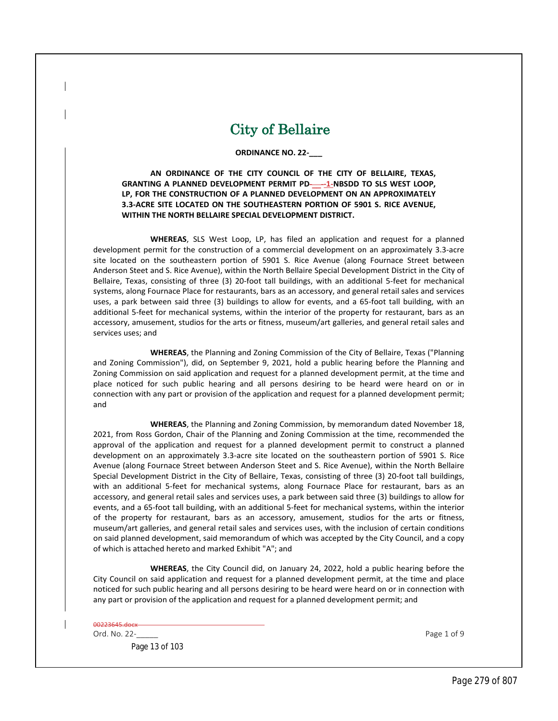## City of Bellaire

## **ORDINANCE NO. 22-\_\_\_**

**AN ORDINANCE OF THE CITY COUNCIL OF THE CITY OF BELLAIRE, TEXAS, GRANTING A PLANNED DEVELOPMENT PERMIT PD**-\_\_-**-1-NBSDD TO SLS WEST LOOP, LP, FOR THE CONSTRUCTION OF A PLANNED DEVELOPMENT ON AN APPROXIMATELY 3.3-ACRE SITE LOCATED ON THE SOUTHEASTERN PORTION OF 5901 S. RICE AVENUE, WITHIN THE NORTH BELLAIRE SPECIAL DEVELOPMENT DISTRICT.**

**WHEREAS**, SLS West Loop, LP, has filed an application and request for a planned development permit for the construction of a commercial development on an approximately 3.3-acre site located on the southeastern portion of 5901 S. Rice Avenue (along Fournace Street between Anderson Steet and S. Rice Avenue), within the North Bellaire Special Development District in the City of Bellaire, Texas, consisting of three (3) 20-foot tall buildings, with an additional 5-feet for mechanical systems, along Fournace Place for restaurants, bars as an accessory, and general retail sales and services uses, a park between said three (3) buildings to allow for events, and a 65-foot tall building, with an additional 5-feet for mechanical systems, within the interior of the property for restaurant, bars as an accessory, amusement, studios for the arts or fitness, museum/art galleries, and general retail sales and services uses; and

**WHEREAS**, the Planning and Zoning Commission of the City of Bellaire, Texas ("Planning and Zoning Commission"), did, on September 9, 2021, hold a public hearing before the Planning and Zoning Commission on said application and request for a planned development permit, at the time and place noticed for such public hearing and all persons desiring to be heard were heard on or in connection with any part or provision of the application and request for a planned development permit; and

**WHEREAS**, the Planning and Zoning Commission, by memorandum dated November 18, 2021, from Ross Gordon, Chair of the Planning and Zoning Commission at the time, recommended the approval of the application and request for a planned development permit to construct a planned development on an approximately 3.3-acre site located on the southeastern portion of 5901 S. Rice Avenue (along Fournace Street between Anderson Steet and S. Rice Avenue), within the North Bellaire Special Development District in the City of Bellaire, Texas, consisting of three (3) 20-foot tall buildings, with an additional 5-feet for mechanical systems, along Fournace Place for restaurant, bars as an accessory, and general retail sales and services uses, a park between said three (3) buildings to allow for events, and a 65-foot tall building, with an additional 5-feet for mechanical systems, within the interior of the property for restaurant, bars as an accessory, amusement, studios for the arts or fitness, museum/art galleries, and general retail sales and services uses, with the inclusion of certain conditions on said planned development, said memorandum of which was accepted by the City Council, and a copy of which is attached hereto and marked Exhibit "A"; and

**WHEREAS**, the City Council did, on January 24, 2022, hold a public hearing before the City Council on said application and request for a planned development permit, at the time and place noticed for such public hearing and all persons desiring to be heard were heard on or in connection with any part or provision of the application and request for a planned development permit; and

| 00223645.docx- |             |
|----------------|-------------|
| Ord. No. 22-   | Page 1 of 9 |

Page 13 of 103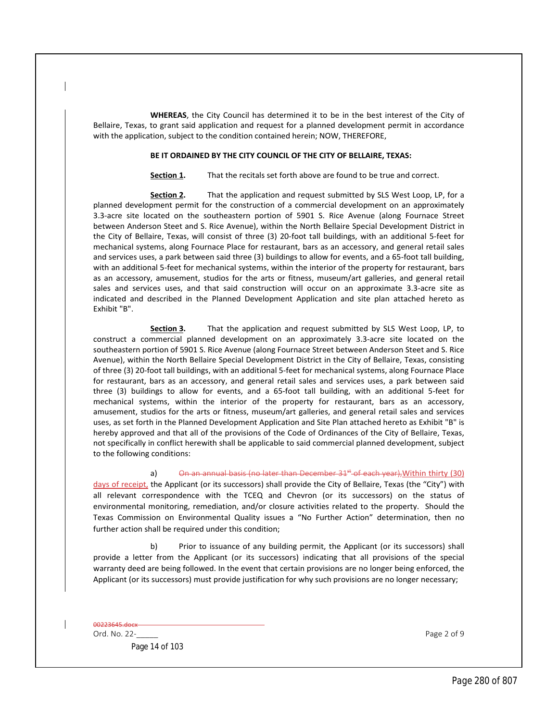**WHEREAS**, the City Council has determined it to be in the best interest of the City of Bellaire, Texas, to grant said application and request for a planned development permit in accordance with the application, subject to the condition contained herein; NOW, THEREFORE,

## **BE IT ORDAINED BY THE CITY COUNCIL OF THE CITY OF BELLAIRE, TEXAS:**

**Section 1.** That the recitals set forth above are found to be true and correct.

**Section 2.** That the application and request submitted by SLS West Loop, LP, for a planned development permit for the construction of a commercial development on an approximately 3.3-acre site located on the southeastern portion of 5901 S. Rice Avenue (along Fournace Street between Anderson Steet and S. Rice Avenue), within the North Bellaire Special Development District in the City of Bellaire, Texas, will consist of three (3) 20-foot tall buildings, with an additional 5-feet for mechanical systems, along Fournace Place for restaurant, bars as an accessory, and general retail sales and services uses, a park between said three (3) buildings to allow for events, and a 65-foot tall building, with an additional 5-feet for mechanical systems, within the interior of the property for restaurant, bars as an accessory, amusement, studios for the arts or fitness, museum/art galleries, and general retail sales and services uses, and that said construction will occur on an approximate 3.3-acre site as indicated and described in the Planned Development Application and site plan attached hereto as Exhibit "B".

**Section 3.** That the application and request submitted by SLS West Loop, LP, to construct a commercial planned development on an approximately 3.3-acre site located on the southeastern portion of 5901 S. Rice Avenue (along Fournace Street between Anderson Steet and S. Rice Avenue), within the North Bellaire Special Development District in the City of Bellaire, Texas, consisting of three (3) 20-foot tall buildings, with an additional 5-feet for mechanical systems, along Fournace Place for restaurant, bars as an accessory, and general retail sales and services uses, a park between said three (3) buildings to allow for events, and a 65-foot tall building, with an additional 5-feet for mechanical systems, within the interior of the property for restaurant, bars as an accessory, amusement, studios for the arts or fitness, museum/art galleries, and general retail sales and services uses, as set forth in the Planned Development Application and Site Plan attached hereto as Exhibit "B" is hereby approved and that all of the provisions of the Code of Ordinances of the City of Bellaire, Texas, not specifically in conflict herewith shall be applicable to said commercial planned development, subject to the following conditions:

a) On an annual basis (no later than December  $31<sup>4</sup>$  of each year), Within thirty (30)

days of receipt, the Applicant (or its successors) shall provide the City of Bellaire, Texas (the "City") with all relevant correspondence with the TCEQ and Chevron (or its successors) on the status of environmental monitoring, remediation, and/or closure activities related to the property. Should the Texas Commission on Environmental Quality issues a "No Further Action" determination, then no further action shall be required under this condition;

b) Prior to issuance of any building permit, the Applicant (or its successors) shall provide a letter from the Applicant (or its successors) indicating that all provisions of the special warranty deed are being followed. In the event that certain provisions are no longer being enforced, the Applicant (or its successors) must provide justification for why such provisions are no longer necessary;

00223645.docx

Page 14 of 103

Ord. No. 22-**Decision Control Control Control** Control Control Control Control Control Control Control Control Control Control Control Control Control Control Control Control Control Control Control Control Control Control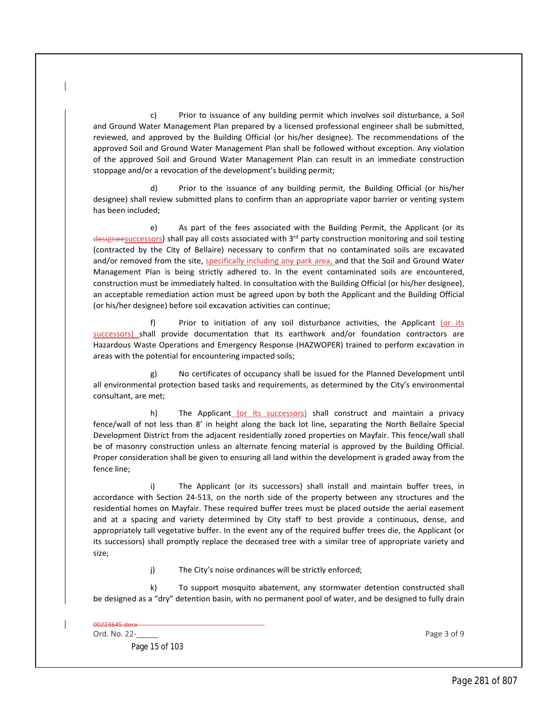c) Prior to issuance of any building permit which involves soil disturbance, a Soil and Ground Water Management Plan prepared by a licensed professional engineer shall be submitted, reviewed, and approved by the Building Official (or his/her designee). The recommendations of the approved Soil and Ground Water Management Plan shall be followed without exception. Any violation of the approved Soil and Ground Water Management Plan can result in an immediate construction stoppage and/or a revocation of the development's building permit;

d) Prior to the issuance of any building permit, the Building Official (or his/her designee) shall review submitted plans to confirm than an appropriate vapor barrier or venting system has been included;

e) As part of the fees associated with the Building Permit, the Applicant (or its designeesuccessors) shall pay all costs associated with 3<sup>rd</sup> party construction monitoring and soil testing (contracted by the City of Bellaire) necessary to confirm that no contaminated soils are excavated and/or removed from the site, specifically including any park area, and that the Soil and Ground Water Management Plan is being strictly adhered to. In the event contaminated soils are encountered, construction must be immediately halted. In consultation with the Building Official (or his/her designee), an acceptable remediation action must be agreed upon by both the Applicant and the Building Official (or his/her designee) before soil excavation activities can continue;

f) Prior to initiation of any soil disturbance activities, the Applicant (or its successors) shall provide documentation that its earthwork and/or foundation contractors are Hazardous Waste Operations and Emergency Response (HAZWOPER) trained to perform excavation in areas with the potential for encountering impacted soils;

g) No certificates of occupancy shall be issued for the Planned Development until all environmental protection based tasks and requirements, as determined by the City's environmental consultant, are met;

h) The Applicant (or its successors) shall construct and maintain a privacy fence/wall of not less than 8' in height along the back lot line, separating the North Bellaire Special Development District from the adjacent residentially zoned properties on Mayfair. This fence/wall shall be of masonry construction unless an alternate fencing material is approved by the Building Official. Proper consideration shall be given to ensuring all land within the development is graded away from the fence line;

i) The Applicant (or its successors) shall install and maintain buffer trees, in accordance with Section 24-513, on the north side of the property between any structures and the residential homes on Mayfair. These required buffer trees must be placed outside the aerial easement and at a spacing and variety determined by City staff to best provide a continuous, dense, and appropriately tall vegetative buffer. In the event any of the required buffer trees die, the Applicant (or its successors) shall promptly replace the deceased tree with a similar tree of appropriate variety and size;

j) The City's noise ordinances will be strictly enforced;

k) To support mosquito abatement, any stormwater detention constructed shall be designed as a "dry" detention basin, with no permanent pool of water, and be designed to fully drain

| 00223645.docx- |  |
|----------------|--|
|                |  |
|                |  |
|                |  |

Ord. No. 22-**Decision Contract Contract Contract Contract Contract Contract Contract Contract Contract Contract Contract Contract Contract Contract Contract Contract Contract Contract Contract Contract Contract Contract Co** 

Page 15 of 103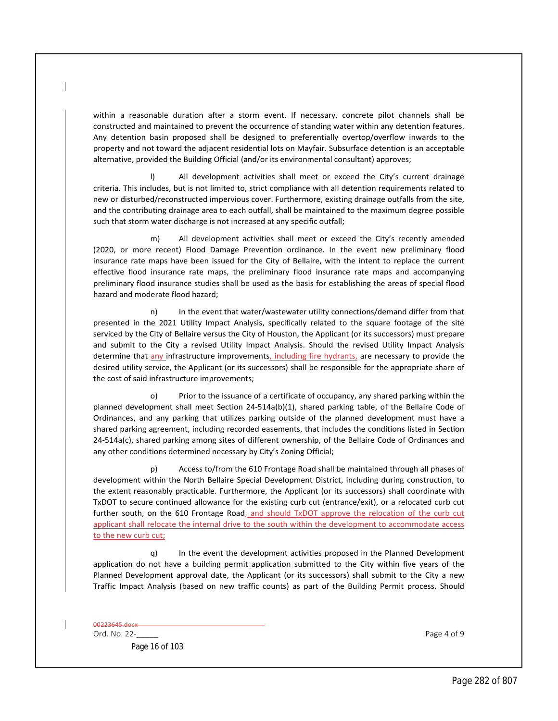within a reasonable duration after a storm event. If necessary, concrete pilot channels shall be constructed and maintained to prevent the occurrence of standing water within any detention features. Any detention basin proposed shall be designed to preferentially overtop/overflow inwards to the property and not toward the adjacent residential lots on Mayfair. Subsurface detention is an acceptable alternative, provided the Building Official (and/or its environmental consultant) approves;

l) All development activities shall meet or exceed the City's current drainage criteria. This includes, but is not limited to, strict compliance with all detention requirements related to new or disturbed/reconstructed impervious cover. Furthermore, existing drainage outfalls from the site, and the contributing drainage area to each outfall, shall be maintained to the maximum degree possible such that storm water discharge is not increased at any specific outfall;

m) All development activities shall meet or exceed the City's recently amended (2020, or more recent) Flood Damage Prevention ordinance. In the event new preliminary flood insurance rate maps have been issued for the City of Bellaire, with the intent to replace the current effective flood insurance rate maps, the preliminary flood insurance rate maps and accompanying preliminary flood insurance studies shall be used as the basis for establishing the areas of special flood hazard and moderate flood hazard;

n) In the event that water/wastewater utility connections/demand differ from that presented in the 2021 Utility Impact Analysis, specifically related to the square footage of the site serviced by the City of Bellaire versus the City of Houston, the Applicant (or its successors) must prepare and submit to the City a revised Utility Impact Analysis. Should the revised Utility Impact Analysis determine that any infrastructure improvements, including fire hydrants, are necessary to provide the desired utility service, the Applicant (or its successors) shall be responsible for the appropriate share of the cost of said infrastructure improvements;

o) Prior to the issuance of a certificate of occupancy, any shared parking within the planned development shall meet Section 24-514a(b)(1), shared parking table, of the Bellaire Code of Ordinances, and any parking that utilizes parking outside of the planned development must have a shared parking agreement, including recorded easements, that includes the conditions listed in Section 24-514a(c), shared parking among sites of different ownership, of the Bellaire Code of Ordinances and any other conditions determined necessary by City's Zoning Official;

p) Access to/from the 610 Frontage Road shall be maintained through all phases of development within the North Bellaire Special Development District, including during construction, to the extent reasonably practicable. Furthermore, the Applicant (or its successors) shall coordinate with TxDOT to secure continued allowance for the existing curb cut (entrance/exit), or a relocated curb cut further south, on the 610 Frontage Road<sub>;</sub> and should TxDOT approve the relocation of the curb cut applicant shall relocate the internal drive to the south within the development to accommodate access to the new curb cut;

q) In the event the development activities proposed in the Planned Development application do not have a building permit application submitted to the City within five years of the Planned Development approval date, the Applicant (or its successors) shall submit to the City a new Traffic Impact Analysis (based on new traffic counts) as part of the Building Permit process. Should

00223645.docx

Page 16 of 103

Ord. No. 22-<br>
Page 4 of 9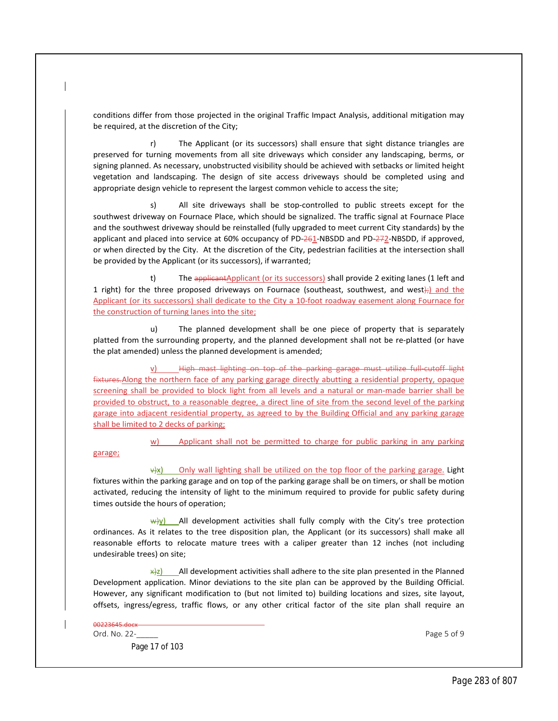conditions differ from those projected in the original Traffic Impact Analysis, additional mitigation may be required, at the discretion of the City;

r) The Applicant (or its successors) shall ensure that sight distance triangles are preserved for turning movements from all site driveways which consider any landscaping, berms, or signing planned. As necessary, unobstructed visibility should be achieved with setbacks or limited height vegetation and landscaping. The design of site access driveways should be completed using and appropriate design vehicle to represent the largest common vehicle to access the site;

All site driveways shall be stop-controlled to public streets except for the southwest driveway on Fournace Place, which should be signalized. The traffic signal at Fournace Place and the southwest driveway should be reinstalled (fully upgraded to meet current City standards) by the applicant and placed into service at 60% occupancy of PD-261-NBSDD and PD-272-NBSDD, if approved, or when directed by the City. At the discretion of the City, pedestrian facilities at the intersection shall be provided by the Applicant (or its successors), if warranted;

t) The applicantApplicant (or its successors) shall provide 2 exiting lanes (1 left and 1 right) for the three proposed driveways on Fournace (southeast, southwest, and west);) and the Applicant (or its successors) shall dedicate to the City a 10-foot roadway easement along Fournace for the construction of turning lanes into the site;

u) The planned development shall be one piece of property that is separately platted from the surrounding property, and the planned development shall not be re-platted (or have the plat amended) unless the planned development is amended;

High mast lighting on top of the parking garage must utilize full-cutoff light fixtures. Along the northern face of any parking garage directly abutting a residential property, opaque screening shall be provided to block light from all levels and a natural or man-made barrier shall be provided to obstruct, to a reasonable degree, a direct line of site from the second level of the parking garage into adjacent residential property, as agreed to by the Building Official and any parking garage shall be limited to 2 decks of parking;

w) Applicant shall not be permitted to charge for public parking in any parking

garage;

 $\frac{dy}{dx}$  Only wall lighting shall be utilized on the top floor of the parking garage. Light fixtures within the parking garage and on top of the parking garage shall be on timers, or shall be motion activated, reducing the intensity of light to the minimum required to provide for public safety during times outside the hours of operation;

 $\frac{w}{y}$  All development activities shall fully comply with the City's tree protection ordinances. As it relates to the tree disposition plan, the Applicant (or its successors) shall make all reasonable efforts to relocate mature trees with a caliper greater than 12 inches (not including undesirable trees) on site;

All development activities shall adhere to the site plan presented in the Planned Development application. Minor deviations to the site plan can be approved by the Building Official. However, any significant modification to (but not limited to) building locations and sizes, site layout, offsets, ingress/egress, traffic flows, or any other critical factor of the site plan shall require an

00223645.docx

Page 17 of 103

Ord. No. 22-<br>
Page 5 of 9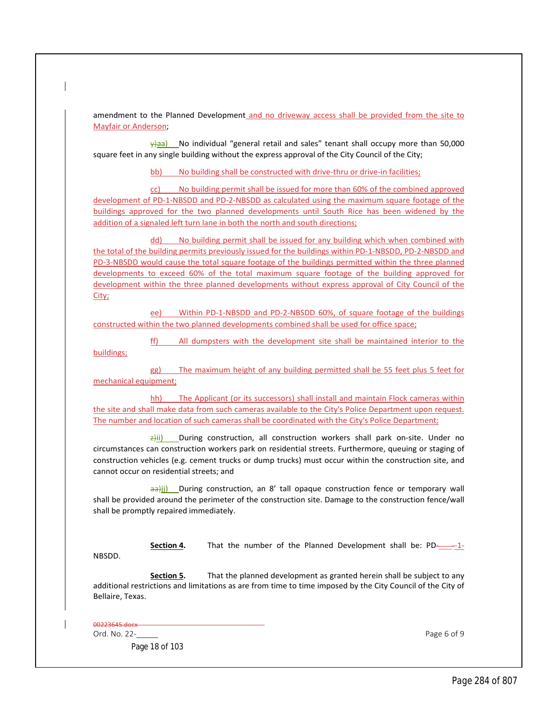amendment to the Planned Development and no driveway access shall be provided from the site to Mayfair or Anderson;

 $\frac{y}{d}$ aa) No individual "general retail and sales" tenant shall occupy more than 50,000 square feet in any single building without the express approval of the City Council of the City;

bb) No building shall be constructed with drive-thru or drive-in facilities;

cc) No building permit shall be issued for more than 60% of the combined approved development of PD-1-NBSDD and PD-2-NBSDD as calculated using the maximum square footage of the buildings approved for the two planned developments until South Rice has been widened by the addition of a signaled left turn lane in both the north and south directions;

dd) No building permit shall be issued for any building which when combined with the total of the building permits previously issued for the buildings within PD-1-NBSDD, PD-2-NBSDD and PD-3-NBSDD would cause the total square footage of the buildings permitted within the three planned developments to exceed 60% of the total maximum square footage of the building approved for development within the three planned developments without express approval of City Council of the City;

ee) Within PD-1-NBSDD and PD-2-NBSDD 60%, of square footage of the buildings constructed within the two planned developments combined shall be used for office space;

All dumpsters with the development site shall be maintained interior to the

buildings;

gg) The maximum height of any building permitted shall be 55 feet plus 5 feet for mechanical equipment;

hh) The Applicant (or its successors) shall install and maintain Flock cameras within the site and shall make data from such cameras available to the City's Police Department upon request. The number and location of such cameras shall be coordinated with the City's Police Department;

 $\frac{\partial u}{\partial r}$  During construction, all construction workers shall park on-site. Under no circumstances can construction workers park on residential streets. Furthermore, queuing or staging of construction vehicles (e.g. cement trucks or dump trucks) must occur within the construction site, and cannot occur on residential streets; and

aa)ji) During construction, an 8' tall opaque construction fence or temporary wall shall be provided around the perimeter of the construction site. Damage to the construction fence/wall shall be promptly repaired immediately.

**Section 4.** That the number of the Planned Development shall be: PD- $-1$ -1-

NBSDD.

**Section 5.** That the planned development as granted herein shall be subject to any additional restrictions and limitations as are from time to time imposed by the City Council of the City of Bellaire, Texas.

00223645.docx

Ord. No. 22-\_\_\_\_\_ Page 6 of 9

Page 18 of 103